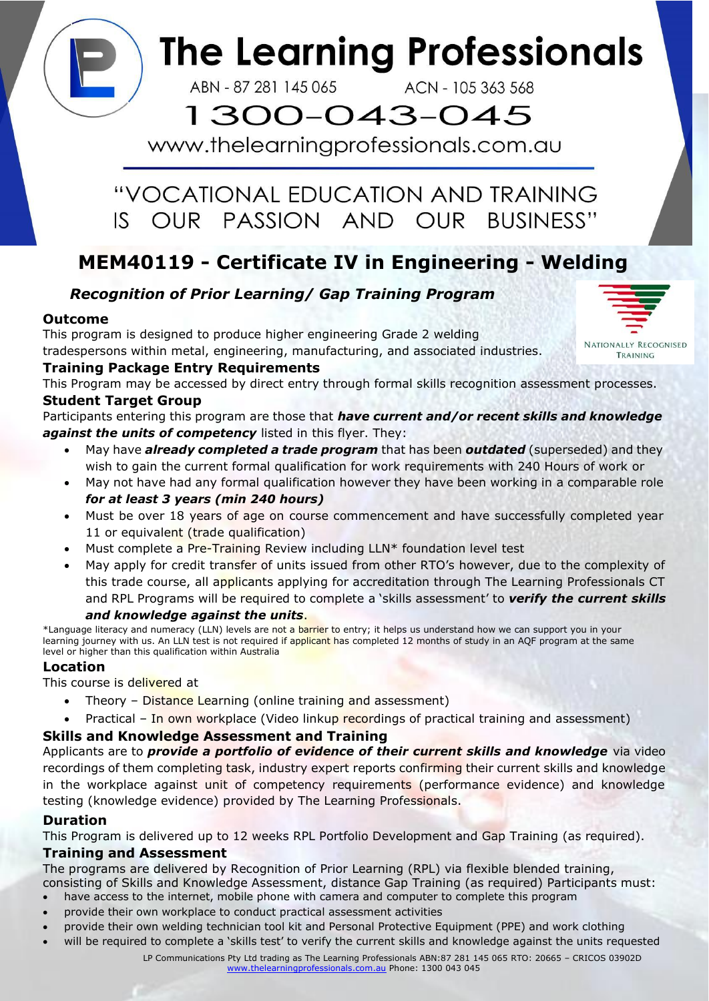

ABN - 87 281 145 065

ACN - 105 363 568

# 1300-043-045

www.thelearningprofessionals.com.au

#### "VOCATIONAL EDUCATION AND TRAINING OUR PASSION AND OUR IS I BUSINESS"

### **MEM40119 - Certificate IV in Engineering - Welding**

### *Recognition of Prior Learning/ Gap Training Program*

#### **Outcome**

This program is designed to produce higher engineering Grade 2 welding tradespersons within metal, engineering, manufacturing, and associated industries.

#### **Training Package Entry Requirements**

This Program may be accessed by direct entry through formal skills recognition assessment processes. **Student Target Group**

Participants entering this program are those that *have current and/or recent skills and knowledge against the units of competency* listed in this flyer. They:

- May have *already completed a trade program* that has been *outdated* (superseded) and they wish to gain the current formal qualification for work requirements with 240 Hours of work or
- May not have had any formal qualification however they have been working in a comparable role *for at least 3 years (min 240 hours)*
- Must be over 18 years of age on course commencement and have successfully completed year 11 or equivalent (trade qualification)
- Must complete a Pre-Training Review including LLN\* foundation level test
- May apply for credit transfer of units issued from other RTO's however, due to the complexity of this trade course, all applicants applying for accreditation through The Learning Professionals CT and RPL Programs will be required to complete a 'skills assessment' to *verify the current skills*

#### *and knowledge against the units*.

\*Language literacy and numeracy (LLN) levels are not a barrier to entry; it helps us understand how we can support you in your learning journey with us. An LLN test is not required if applicant has completed 12 months of study in an AQF program at the same level or higher than this qualification within Australia

#### **Location**

#### This course is delivered at

- Theory Distance Learning (online training and assessment)
- Practical In own workplace (Video linkup recordings of practical training and assessment)

#### **Skills and Knowledge Assessment and Training**

Applicants are to *provide a portfolio of evidence of their current skills and knowledge* via video recordings of them completing task, industry expert reports confirming their current skills and knowledge in the workplace against unit of competency requirements (performance evidence) and knowledge testing (knowledge evidence) provided by The Learning Professionals.

#### **Duration**

This Program is delivered up to 12 weeks RPL Portfolio Development and Gap Training (as required).

#### **Training and Assessment**

The programs are delivered by Recognition of Prior Learning (RPL) via flexible blended training, consisting of Skills and Knowledge Assessment, distance Gap Training (as required) Participants must:

- have access to the internet, mobile phone with camera and computer to complete this program
- provide their own workplace to conduct practical assessment activities
- provide their own welding technician tool kit and Personal Protective Equipment (PPE) and work clothing
- will be required to complete a 'skills test' to verify the current skills and knowledge against the units requested